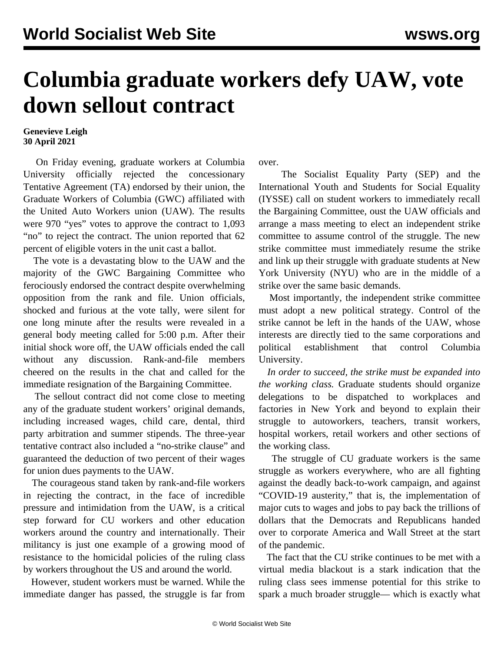## **Columbia graduate workers defy UAW, vote down sellout contract**

## **Genevieve Leigh 30 April 2021**

 On Friday evening, graduate workers at Columbia University officially rejected the concessionary Tentative Agreement (TA) endorsed by their union, the Graduate Workers of Columbia (GWC) affiliated with the United Auto Workers union (UAW). The results were 970 "yes" votes to approve the contract to 1,093 "no" to reject the contract. The union reported that 62 percent of eligible voters in the unit cast a ballot.

 The vote is a devastating blow to the UAW and the majority of the GWC Bargaining Committee who ferociously endorsed the contract despite overwhelming opposition from the rank and file. Union officials, shocked and furious at the vote tally, were silent for one long minute after the results were revealed in a general body meeting called for 5:00 p.m. After their initial shock wore off, the UAW officials ended the call without any discussion. Rank-and-file members cheered on the results in the chat and called for the immediate resignation of the Bargaining Committee.

 The sellout contract did not come close to meeting any of the graduate student workers' original demands, including increased wages, child care, dental, third party arbitration and summer stipends. The three-year tentative contract also included a "no-strike clause" and guaranteed the deduction of two percent of their wages for union dues payments to the UAW.

 The courageous stand taken by rank-and-file workers in rejecting the contract, in the face of incredible pressure and intimidation from the UAW, is a critical step forward for CU workers and other education workers around the country and internationally. Their militancy is just one example of a growing mood of resistance to the homicidal policies of the ruling class by workers throughout the US and around the world.

 However, student workers must be warned. While the immediate danger has passed, the struggle is far from over.

 The Socialist Equality Party (SEP) and the International Youth and Students for Social Equality (IYSSE) call on student workers to immediately recall the Bargaining Committee, oust the UAW officials and arrange a mass meeting to elect an independent strike committee to assume control of the struggle. The new strike committee must immediately resume the strike and link up their struggle with graduate students at New York University (NYU) who are in the middle of a strike over the same basic demands.

 Most importantly, the independent strike committee must adopt a new political strategy. Control of the strike cannot be left in the hands of the UAW, whose interests are [directly tied to the same corporations](/en/articles/2021/04/03/colu-a03.html) and political establishment that control Columbia University.

 *In order to succeed, the strike must be expanded into the working class.* Graduate students should organize delegations to be dispatched to workplaces and factories in New York and beyond to explain their struggle to autoworkers, teachers, transit workers, hospital workers, retail workers and other sections of the working class.

 The struggle of CU graduate workers is the same struggle as workers everywhere, who are all fighting against the deadly back-to-work campaign, and against "COVID-19 austerity," that is, the implementation of major cuts to wages and jobs to pay back the trillions of dollars that the Democrats and Republicans handed over to corporate America and Wall Street at the start of the pandemic.

 The fact that the CU strike continues to be met with a [virtual media blackout](/en/articles/2021/04/01/medi-a01.html) is a stark indication that the ruling class sees immense potential for this strike to spark a much broader struggle— which is exactly what